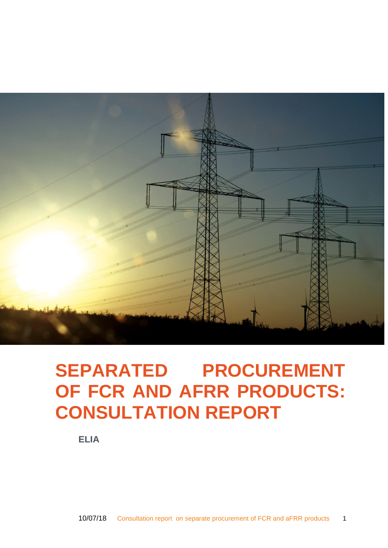

# <span id="page-0-0"></span>**SEPARATED PROCUREMENT OF FCR AND AFRR PRODUCTS: CONSULTATION REPORT**

**ELIA**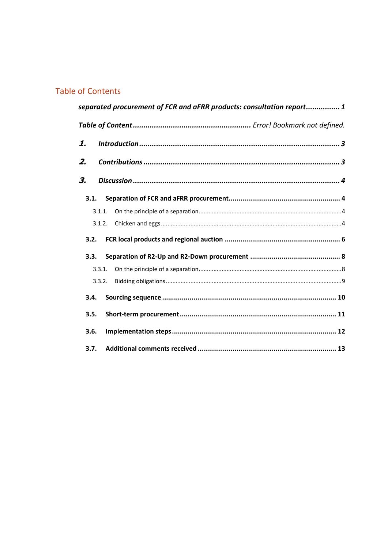# **Table of Contents**

|      |        | separated procurement of FCR and aFRR products: consultation report1 |  |
|------|--------|----------------------------------------------------------------------|--|
|      |        |                                                                      |  |
| 1.   |        |                                                                      |  |
| 2.   |        |                                                                      |  |
| З.   |        |                                                                      |  |
|      | 3.1.   |                                                                      |  |
|      | 3.1.1. |                                                                      |  |
|      | 3.1.2. |                                                                      |  |
|      | 3.2.   |                                                                      |  |
|      | 3.3.   |                                                                      |  |
|      | 3.3.1. |                                                                      |  |
|      | 3.3.2. |                                                                      |  |
| 3.4. |        |                                                                      |  |
| 3.5. |        |                                                                      |  |
| 3.6. |        |                                                                      |  |
| 3.7. |        |                                                                      |  |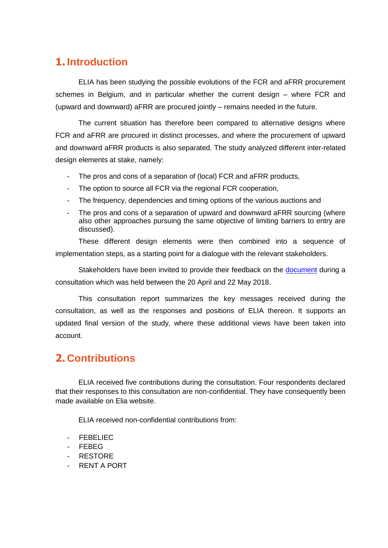# <span id="page-2-0"></span>**1. Introduction**

ELIA has been studying the possible evolutions of the FCR and aFRR procurement schemes in Belgium, and in particular whether the current design – where FCR and (upward and downward) aFRR are procured jointly – remains needed in the future.

The current situation has therefore been compared to alternative designs where FCR and aFRR are procured in distinct processes, and where the procurement of upward and downward aFRR products is also separated. The study analyzed different inter-related design elements at stake, namely:

- The pros and cons of a separation of (local) FCR and aFRR products,
- The option to source all FCR via the regional FCR cooperation,
- The frequency, dependencies and timing options of the various auctions and
- The pros and cons of a separation of upward and downward aFRR sourcing (where also other approaches pursuing the same objective of limiting barriers to entry are discussed).

These different design elements were then combined into a sequence of implementation steps, as a starting point for a dialogue with the relevant stakeholders.

Stakeholders have been invited to provide their feedback on the [document](http://www.elia.be/en/about-elia/publications/Public-Consultation/Archives/Formal-public-consultation-regarding-a-study-on-Separate-procurement-of-FCR-and-aFRR-products) during a consultation which was held between the 20 April and 22 May 2018.

This consultation report summarizes the key messages received during the consultation, as well as the responses and positions of ELIA thereon. It supports an updated final version of the study, where these additional views have been taken into account.

# <span id="page-2-1"></span>**2. Contributions**

ELIA received five contributions during the consultation. Four respondents declared that their responses to this consultation are non-confidential. They have consequently been made available on Elia website.

ELIA received non-confidential contributions from:

- FEBELIEC
- FEBEG
- RESTORE
- RENT A PORT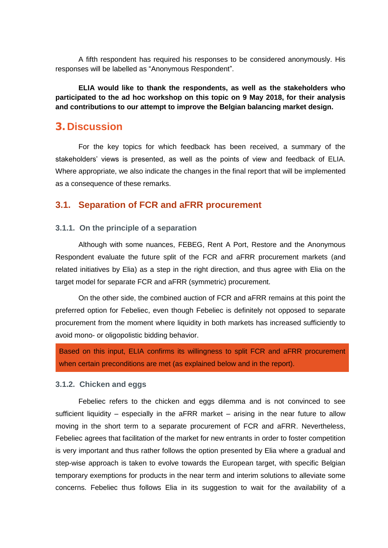A fifth respondent has required his responses to be considered anonymously. His responses will be labelled as "Anonymous Respondent".

**ELIA would like to thank the respondents, as well as the stakeholders who participated to the ad hoc workshop on this topic on 9 May 2018, for their analysis and contributions to our attempt to improve the Belgian balancing market design.** 

# <span id="page-3-0"></span>**3. Discussion**

For the key topics for which feedback has been received, a summary of the stakeholders' views is presented, as well as the points of view and feedback of ELIA. Where appropriate, we also indicate the changes in the final report that will be implemented as a consequence of these remarks.

# <span id="page-3-1"></span>**3.1. Separation of FCR and aFRR procurement**

### <span id="page-3-2"></span>**3.1.1. On the principle of a separation**

Although with some nuances, FEBEG, Rent A Port, Restore and the Anonymous Respondent evaluate the future split of the FCR and aFRR procurement markets (and related initiatives by Elia) as a step in the right direction, and thus agree with Elia on the target model for separate FCR and aFRR (symmetric) procurement.

On the other side, the combined auction of FCR and aFRR remains at this point the preferred option for Febeliec, even though Febeliec is definitely not opposed to separate procurement from the moment where liquidity in both markets has increased sufficiently to avoid mono- or oligopolistic bidding behavior.

Based on this input, ELIA confirms its willingness to split FCR and aFRR procurement when certain preconditions are met (as explained below and in the report).

#### <span id="page-3-3"></span>**3.1.2. Chicken and eggs**

Febeliec refers to the chicken and eggs dilemma and is not convinced to see sufficient liquidity – especially in the aFRR market – arising in the near future to allow moving in the short term to a separate procurement of FCR and aFRR. Nevertheless, Febeliec agrees that facilitation of the market for new entrants in order to foster competition is very important and thus rather follows the option presented by Elia where a gradual and step-wise approach is taken to evolve towards the European target, with specific Belgian temporary exemptions for products in the near term and interim solutions to alleviate some concerns. Febeliec thus follows Elia in its suggestion to wait for the availability of a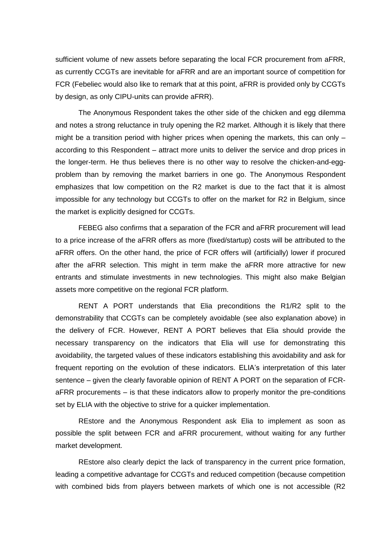sufficient volume of new assets before separating the local FCR procurement from aFRR, as currently CCGTs are inevitable for aFRR and are an important source of competition for FCR (Febeliec would also like to remark that at this point, aFRR is provided only by CCGTs by design, as only CIPU-units can provide aFRR).

The Anonymous Respondent takes the other side of the chicken and egg dilemma and notes a strong reluctance in truly opening the R2 market. Although it is likely that there might be a transition period with higher prices when opening the markets, this can only – according to this Respondent – attract more units to deliver the service and drop prices in the longer-term. He thus believes there is no other way to resolve the chicken-and-eggproblem than by removing the market barriers in one go. The Anonymous Respondent emphasizes that low competition on the R2 market is due to the fact that it is almost impossible for any technology but CCGTs to offer on the market for R2 in Belgium, since the market is explicitly designed for CCGTs.

FEBEG also confirms that a separation of the FCR and aFRR procurement will lead to a price increase of the aFRR offers as more (fixed/startup) costs will be attributed to the aFRR offers. On the other hand, the price of FCR offers will (artificially) lower if procured after the aFRR selection. This might in term make the aFRR more attractive for new entrants and stimulate investments in new technologies. This might also make Belgian assets more competitive on the regional FCR platform.

RENT A PORT understands that Elia preconditions the R1/R2 split to the demonstrability that CCGTs can be completely avoidable (see also explanation above) in the delivery of FCR. However, RENT A PORT believes that Elia should provide the necessary transparency on the indicators that Elia will use for demonstrating this avoidability, the targeted values of these indicators establishing this avoidability and ask for frequent reporting on the evolution of these indicators. ELIA's interpretation of this later sentence – given the clearly favorable opinion of RENT A PORT on the separation of FCRaFRR procurements – is that these indicators allow to properly monitor the pre-conditions set by ELIA with the objective to strive for a quicker implementation.

REstore and the Anonymous Respondent ask Elia to implement as soon as possible the split between FCR and aFRR procurement, without waiting for any further market development.

REstore also clearly depict the lack of transparency in the current price formation, leading a competitive advantage for CCGTs and reduced competition (because competition with combined bids from players between markets of which one is not accessible (R2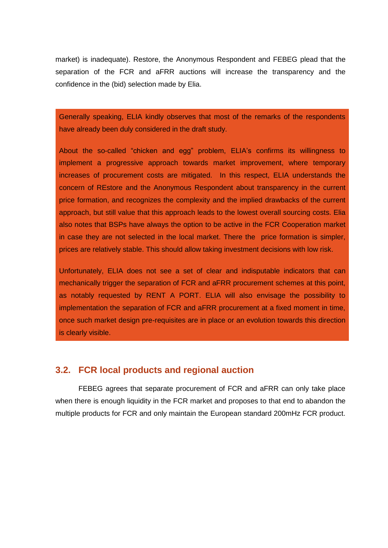market) is inadequate). Restore, the Anonymous Respondent and FEBEG plead that the separation of the FCR and aFRR auctions will increase the transparency and the confidence in the (bid) selection made by Elia.

Generally speaking, ELIA kindly observes that most of the remarks of the respondents have already been duly considered in the draft study.

About the so-called "chicken and egg" problem, ELIA's confirms its willingness to implement a progressive approach towards market improvement, where temporary increases of procurement costs are mitigated. In this respect, ELIA understands the concern of REstore and the Anonymous Respondent about transparency in the current price formation, and recognizes the complexity and the implied drawbacks of the current approach, but still value that this approach leads to the lowest overall sourcing costs. Elia also notes that BSPs have always the option to be active in the FCR Cooperation market in case they are not selected in the local market. There the price formation is simpler, prices are relatively stable. This should allow taking investment decisions with low risk.

Unfortunately, ELIA does not see a set of clear and indisputable indicators that can mechanically trigger the separation of FCR and aFRR procurement schemes at this point. as notably requested by RENT A PORT. ELIA will also envisage the possibility to implementation the separation of FCR and aFRR procurement at a fixed moment in time, once such market design pre-requisites are in place or an evolution towards this direction is clearly visible.

# <span id="page-5-0"></span>**3.2. FCR local products and regional auction**

FEBEG agrees that separate procurement of FCR and aFRR can only take place when there is enough liquidity in the FCR market and proposes to that end to abandon the multiple products for FCR and only maintain the European standard 200mHz FCR product.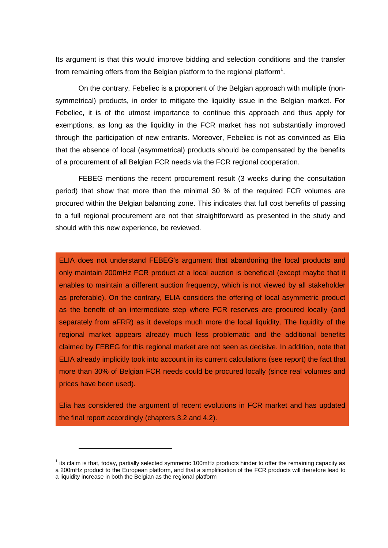Its argument is that this would improve bidding and selection conditions and the transfer from remaining offers from the Belgian platform to the regional platform<sup>1</sup>.

On the contrary, Febeliec is a proponent of the Belgian approach with multiple (nonsymmetrical) products, in order to mitigate the liquidity issue in the Belgian market. For Febeliec, it is of the utmost importance to continue this approach and thus apply for exemptions, as long as the liquidity in the FCR market has not substantially improved through the participation of new entrants. Moreover, Febeliec is not as convinced as Elia that the absence of local (asymmetrical) products should be compensated by the benefits of a procurement of all Belgian FCR needs via the FCR regional cooperation.

FEBEG mentions the recent procurement result (3 weeks during the consultation period) that show that more than the minimal 30 % of the required FCR volumes are procured within the Belgian balancing zone. This indicates that full cost benefits of passing to a full regional procurement are not that straightforward as presented in the study and should with this new experience, be reviewed.

ELIA does not understand FEBEG's argument that abandoning the local products and only maintain 200mHz FCR product at a local auction is beneficial (except maybe that it enables to maintain a different auction frequency, which is not viewed by all stakeholder as preferable). On the contrary, ELIA considers the offering of local asymmetric product as the benefit of an intermediate step where FCR reserves are procured locally (and separately from aFRR) as it develops much more the local liquidity. The liquidity of the regional market appears already much less problematic and the additional benefits claimed by FEBEG for this regional market are not seen as decisive. In addition, note that ELIA already implicitly took into account in its current calculations (see report) the fact that more than 30% of Belgian FCR needs could be procured locally (since real volumes and prices have been used).

Elia has considered the argument of recent evolutions in FCR market and has updated the final report accordingly (chapters 3.2 and 4.2).

 $\overline{a}$ 

 $1$  its claim is that, today, partially selected symmetric 100mHz products hinder to offer the remaining capacity as a 200mHz product to the European platform, and that a simplification of the FCR products will therefore lead to

a liquidity increase in both the Belgian as the regional platform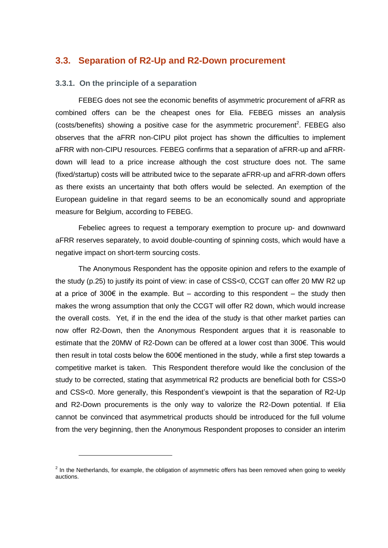# <span id="page-7-0"></span>**3.3. Separation of R2-Up and R2-Down procurement**

#### <span id="page-7-1"></span>**3.3.1. On the principle of a separation**

FEBEG does not see the economic benefits of asymmetric procurement of aFRR as combined offers can be the cheapest ones for Elia. FEBEG misses an analysis  $(costs/benefits)$  showing a positive case for the asymmetric procurement<sup>2</sup>. FEBEG also observes that the aFRR non-CIPU pilot project has shown the difficulties to implement aFRR with non-CIPU resources. FEBEG confirms that a separation of aFRR-up and aFRRdown will lead to a price increase although the cost structure does not. The same (fixed/startup) costs will be attributed twice to the separate aFRR-up and aFRR-down offers as there exists an uncertainty that both offers would be selected. An exemption of the European guideline in that regard seems to be an economically sound and appropriate measure for Belgium, according to FEBEG.

Febeliec agrees to request a temporary exemption to procure up- and downward aFRR reserves separately, to avoid double-counting of spinning costs, which would have a negative impact on short-term sourcing costs.

The Anonymous Respondent has the opposite opinion and refers to the example of the study (p.25) to justify its point of view: in case of CSS<0, CCGT can offer 20 MW R2 up at a price of 300 $\epsilon$  in the example. But – according to this respondent – the study then makes the wrong assumption that only the CCGT will offer R2 down, which would increase the overall costs. Yet, if in the end the idea of the study is that other market parties can now offer R2-Down, then the Anonymous Respondent argues that it is reasonable to estimate that the 20MW of R2-Down can be offered at a lower cost than 300€. This would then result in total costs below the 600€ mentioned in the study, while a first step towards a competitive market is taken. This Respondent therefore would like the conclusion of the study to be corrected, stating that asymmetrical R2 products are beneficial both for CSS>0 and CSS<0. More generally, this Respondent's viewpoint is that the separation of R2-Up and R2-Down procurements is the only way to valorize the R2-Down potential. If Elia cannot be convinced that asymmetrical products should be introduced for the full volume from the very beginning, then the Anonymous Respondent proposes to consider an interim

 $2$  In the Netherlands, for example, the obligation of asymmetric offers has been removed when going to weekly auctions.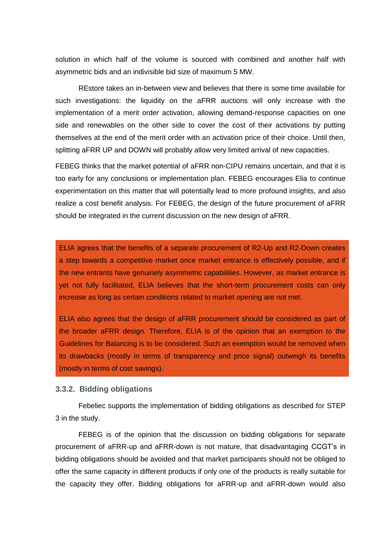solution in which half of the volume is sourced with combined and another half with asymmetric bids and an indivisible bid size of maximum 5 MW.

REstore takes an in-between view and believes that there is some time available for such investigations: the liquidity on the aFRR auctions will only increase with the implementation of a merit order activation, allowing demand-response capacities on one side and renewables on the other side to cover the cost of their activations by putting themselves at the end of the merit order with an activation price of their choice. Until then, splitting aFRR UP and DOWN will probably allow very limited arrival of new capacities.

FEBEG thinks that the market potential of aFRR non-CIPU remains uncertain, and that it is too early for any conclusions or implementation plan. FEBEG encourages Elia to continue experimentation on this matter that will potentially lead to more profound insights, and also realize a cost benefit analysis. For FEBEG, the design of the future procurement of aFRR should be integrated in the current discussion on the new design of aFRR.

ELIA agrees that the benefits of a separate procurement of R2-Up and R2-Down creates a step towards a competitive market once market entrance is effectively possible, and if the new entrants have genuinely asymmetric capabilities. However, as market entrance is yet not fully facilitated, ELIA believes that the short-term procurement costs can only increase as long as certain conditions related to market opening are not met.

ELIA also agrees that the design of aFRR procurement should be considered as part of the broader aFRR design. Therefore, ELIA is of the opinion that an exemption to the Guidelines for Balancing is to be considered. Such an exemption would be removed when its drawbacks (mostly in terms of transparency and price signal) outweigh its benefits (mostly in terms of cost savings).

#### <span id="page-8-0"></span>**3.3.2. Bidding obligations**

Febeliec supports the implementation of bidding obligations as described for STEP 3 in the study.

FEBEG is of the opinion that the discussion on bidding obligations for separate procurement of aFRR-up and aFRR-down is not mature, that disadvantaging CCGT's in bidding obligations should be avoided and that market participants should not be obliged to offer the same capacity in different products if only one of the products is really suitable for the capacity they offer. Bidding obligations for aFRR-up and aFRR-down would also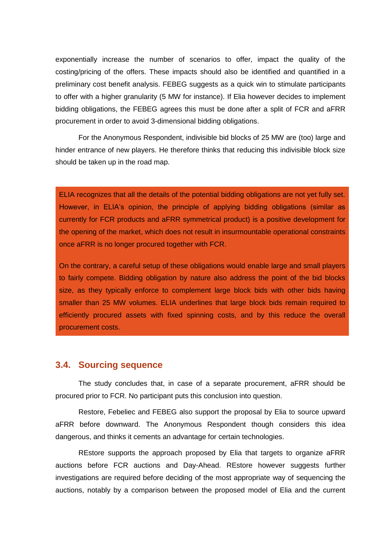exponentially increase the number of scenarios to offer, impact the quality of the costing/pricing of the offers. These impacts should also be identified and quantified in a preliminary cost benefit analysis. FEBEG suggests as a quick win to stimulate participants to offer with a higher granularity (5 MW for instance). If Elia however decides to implement bidding obligations, the FEBEG agrees this must be done after a split of FCR and aFRR procurement in order to avoid 3-dimensional bidding obligations.

For the Anonymous Respondent, indivisible bid blocks of 25 MW are (too) large and hinder entrance of new players. He therefore thinks that reducing this indivisible block size should be taken up in the road map.

ELIA recognizes that all the details of the potential bidding obligations are not yet fully set. However, in ELIA's opinion, the principle of applying bidding obligations (similar as currently for FCR products and aFRR symmetrical product) is a positive development for the opening of the market, which does not result in insurmountable operational constraints once aFRR is no longer procured together with FCR.

On the contrary, a careful setup of these obligations would enable large and small players to fairly compete. Bidding obligation by nature also address the point of the bid blocks size, as they typically enforce to complement large block bids with other bids having smaller than 25 MW volumes. ELIA underlines that large block bids remain required to efficiently procured assets with fixed spinning costs, and by this reduce the overall procurement costs.

## <span id="page-9-0"></span>**3.4. Sourcing sequence**

The study concludes that, in case of a separate procurement, aFRR should be procured prior to FCR. No participant puts this conclusion into question.

Restore, Febeliec and FEBEG also support the proposal by Elia to source upward aFRR before downward. The Anonymous Respondent though considers this idea dangerous, and thinks it cements an advantage for certain technologies.

REstore supports the approach proposed by Elia that targets to organize aFRR auctions before FCR auctions and Day-Ahead. REstore however suggests further investigations are required before deciding of the most appropriate way of sequencing the auctions, notably by a comparison between the proposed model of Elia and the current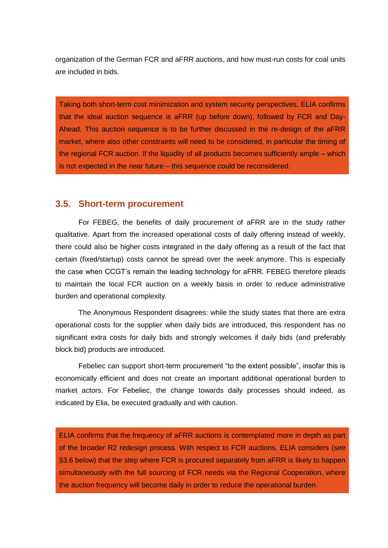organization of the German FCR and aFRR auctions, and how must-run costs for coal units are included in bids.

Taking both short-term cost minimization and system security perspectives, ELIA confirms that the ideal auction sequence is aFRR (up before down), followed by FCR and Day-Ahead. This auction sequence is to be further discussed in the re-design of the aFRR market, where also other constraints will need to be considered, in particular the timing of the regional FCR auction. If the liquidity of all products becomes sufficiently ample – which is not expected in the near future – this sequence could be reconsidered.

## <span id="page-10-0"></span>**3.5. Short-term procurement**

For FEBEG, the benefits of daily procurement of aFRR are in the study rather qualitative. Apart from the increased operational costs of daily offering instead of weekly, there could also be higher costs integrated in the daily offering as a result of the fact that certain (fixed/startup) costs cannot be spread over the week anymore. This is especially the case when CCGT's remain the leading technology for aFRR. FEBEG therefore pleads to maintain the local FCR auction on a weekly basis in order to reduce administrative burden and operational complexity.

The Anonymous Respondent disagrees: while the study states that there are extra operational costs for the supplier when daily bids are introduced, this respondent has no significant extra costs for daily bids and strongly welcomes if daily bids (and preferably block bid) products are introduced.

Febeliec can support short-term procurement "to the extent possible", insofar this is economically efficient and does not create an important additional operational burden to market actors. For Febeliec, the change towards daily processes should indeed, as indicated by Elia, be executed gradually and with caution.

ELIA confirms that the frequency of aFRR auctions is contemplated more in depth as part of the broader R2 redesign process. With respect to FCR auctions, ELIA considers (see [§3.6](#page-11-0) below) that the step where FCR is procured separately from aFRR is likely to happen simultaneously with the full sourcing of FCR needs via the Regional Cooperation, where the auction frequency will become daily in order to reduce the operational burden.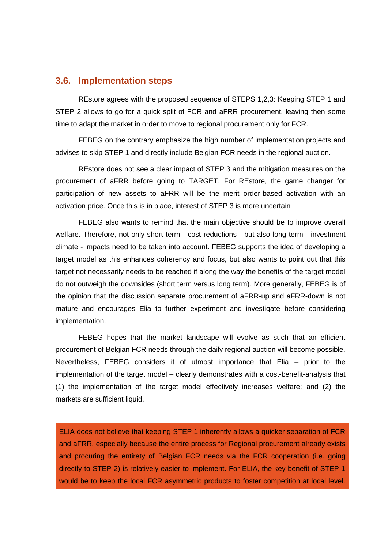#### <span id="page-11-0"></span>**3.6. Implementation steps**

REstore agrees with the proposed sequence of STEPS 1,2,3: Keeping STEP 1 and STEP 2 allows to go for a quick split of FCR and aFRR procurement, leaving then some time to adapt the market in order to move to regional procurement only for FCR.

FEBEG on the contrary emphasize the high number of implementation projects and advises to skip STEP 1 and directly include Belgian FCR needs in the regional auction.

REstore does not see a clear impact of STEP 3 and the mitigation measures on the procurement of aFRR before going to TARGET. For REstore, the game changer for participation of new assets to aFRR will be the merit order-based activation with an activation price. Once this is in place, interest of STEP 3 is more uncertain

FEBEG also wants to remind that the main objective should be to improve overall welfare. Therefore, not only short term - cost reductions - but also long term - investment climate - impacts need to be taken into account. FEBEG supports the idea of developing a target model as this enhances coherency and focus, but also wants to point out that this target not necessarily needs to be reached if along the way the benefits of the target model do not outweigh the downsides (short term versus long term). More generally, FEBEG is of the opinion that the discussion separate procurement of aFRR-up and aFRR-down is not mature and encourages Elia to further experiment and investigate before considering implementation.

FEBEG hopes that the market landscape will evolve as such that an efficient procurement of Belgian FCR needs through the daily regional auction will become possible. Nevertheless, FEBEG considers it of utmost importance that Elia – prior to the implementation of the target model – clearly demonstrates with a cost-benefit-analysis that (1) the implementation of the target model effectively increases welfare; and (2) the markets are sufficient liquid.

ELIA does not believe that keeping STEP 1 inherently allows a quicker separation of FCR and aFRR, especially because the entire process for Regional procurement already exists and procuring the entirety of Belgian FCR needs via the FCR cooperation (i.e. going directly to STEP 2) is relatively easier to implement. For ELIA, the key benefit of STEP 1 would be to keep the local FCR asymmetric products to foster competition at local level.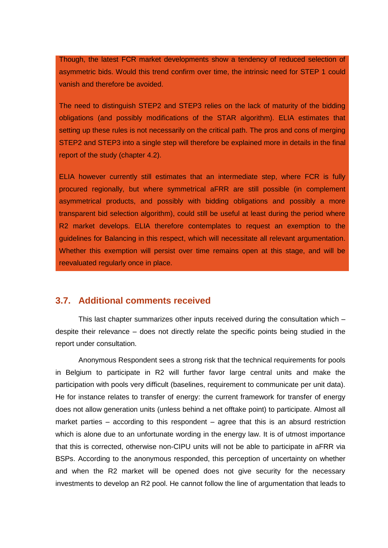Though, the latest FCR market developments show a tendency of reduced selection of asymmetric bids. Would this trend confirm over time, the intrinsic need for STEP 1 could vanish and therefore be avoided.

The need to distinguish STEP2 and STEP3 relies on the lack of maturity of the bidding obligations (and possibly modifications of the STAR algorithm). ELIA estimates that setting up these rules is not necessarily on the critical path. The pros and cons of merging STEP2 and STEP3 into a single step will therefore be explained more in details in the final report of the study (chapter 4.2).

ELIA however currently still estimates that an intermediate step, where FCR is fully procured regionally, but where symmetrical aFRR are still possible (in complement asymmetrical products, and possibly with bidding obligations and possibly a more transparent bid selection algorithm), could still be useful at least during the period where R2 market develops. ELIA therefore contemplates to request an exemption to the guidelines for Balancing in this respect, which will necessitate all relevant argumentation. Whether this exemption will persist over time remains open at this stage, and will be reevaluated regularly once in place.

## <span id="page-12-0"></span>**3.7. Additional comments received**

This last chapter summarizes other inputs received during the consultation which – despite their relevance – does not directly relate the specific points being studied in the report under consultation.

Anonymous Respondent sees a strong risk that the technical requirements for pools in Belgium to participate in R2 will further favor large central units and make the participation with pools very difficult (baselines, requirement to communicate per unit data). He for instance relates to transfer of energy: the current framework for transfer of energy does not allow generation units (unless behind a net offtake point) to participate. Almost all market parties – according to this respondent – agree that this is an absurd restriction which is alone due to an unfortunate wording in the energy law. It is of utmost importance that this is corrected, otherwise non-CIPU units will not be able to participate in aFRR via BSPs. According to the anonymous responded, this perception of uncertainty on whether and when the R2 market will be opened does not give security for the necessary investments to develop an R2 pool. He cannot follow the line of argumentation that leads to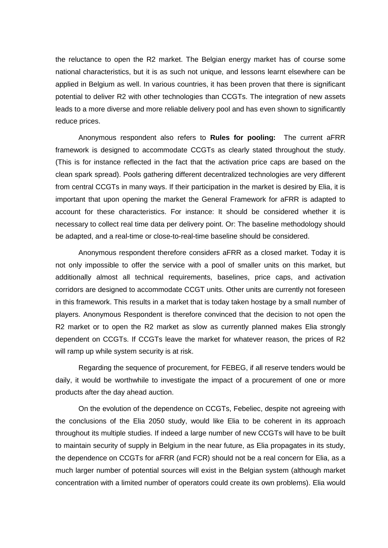the reluctance to open the R2 market. The Belgian energy market has of course some national characteristics, but it is as such not unique, and lessons learnt elsewhere can be applied in Belgium as well. In various countries, it has been proven that there is significant potential to deliver R2 with other technologies than CCGTs. The integration of new assets leads to a more diverse and more reliable delivery pool and has even shown to significantly reduce prices.

Anonymous respondent also refers to **Rules for pooling:** The current aFRR framework is designed to accommodate CCGTs as clearly stated throughout the study. (This is for instance reflected in the fact that the activation price caps are based on the clean spark spread). Pools gathering different decentralized technologies are very different from central CCGTs in many ways. If their participation in the market is desired by Elia, it is important that upon opening the market the General Framework for aFRR is adapted to account for these characteristics. For instance: It should be considered whether it is necessary to collect real time data per delivery point. Or: The baseline methodology should be adapted, and a real-time or close-to-real-time baseline should be considered.

Anonymous respondent therefore considers aFRR as a closed market. Today it is not only impossible to offer the service with a pool of smaller units on this market, but additionally almost all technical requirements, baselines, price caps, and activation corridors are designed to accommodate CCGT units. Other units are currently not foreseen in this framework. This results in a market that is today taken hostage by a small number of players. Anonymous Respondent is therefore convinced that the decision to not open the R2 market or to open the R2 market as slow as currently planned makes Elia strongly dependent on CCGTs. If CCGTs leave the market for whatever reason, the prices of R2 will ramp up while system security is at risk.

Regarding the sequence of procurement, for FEBEG, if all reserve tenders would be daily, it would be worthwhile to investigate the impact of a procurement of one or more products after the day ahead auction.

On the evolution of the dependence on CCGTs, Febeliec, despite not agreeing with the conclusions of the Elia 2050 study, would like Elia to be coherent in its approach throughout its multiple studies. If indeed a large number of new CCGTs will have to be built to maintain security of supply in Belgium in the near future, as Elia propagates in its study, the dependence on CCGTs for aFRR (and FCR) should not be a real concern for Elia, as a much larger number of potential sources will exist in the Belgian system (although market concentration with a limited number of operators could create its own problems). Elia would